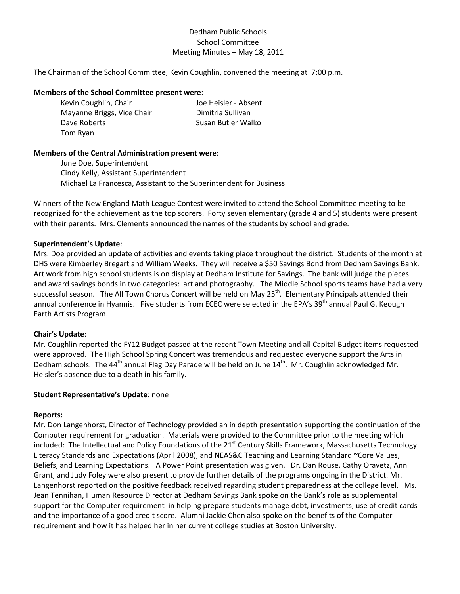## Dedham Public Schools School Committee Meeting Minutes – May 18, 2011

The Chairman of the School Committee, Kevin Coughlin, convened the meeting at 7:00 p.m.

#### **Members of the School Committee present were**:

| Kevin Coughlin, Chair      | Joe Heisler - Absent |
|----------------------------|----------------------|
| Mayanne Briggs, Vice Chair | Dimitria Sullivan    |
| Dave Roberts               | Susan Butler Walko   |
| Tom Ryan                   |                      |

#### **Members of the Central Administration present were**:

June Doe, Superintendent Cindy Kelly, Assistant Superintendent Michael La Francesca, Assistant to the Superintendent for Business

Winners of the New England Math League Contest were invited to attend the School Committee meeting to be recognized for the achievement as the top scorers. Forty seven elementary (grade 4 and 5) students were present with their parents. Mrs. Clements announced the names of the students by school and grade.

#### **Superintendent's Update**:

Mrs. Doe provided an update of activities and events taking place throughout the district. Students of the month at DHS were Kimberley Bregart and William Weeks. They will receive a \$50 Savings Bond from Dedham Savings Bank. Art work from high school students is on display at Dedham Institute for Savings. The bank will judge the pieces and award savings bonds in two categories: art and photography. The Middle School sports teams have had a very successful season. The All Town Chorus Concert will be held on May  $25<sup>th</sup>$ . Elementary Principals attended their annual conference in Hyannis. Five students from ECEC were selected in the EPA's 39<sup>th</sup> annual Paul G. Keough Earth Artists Program.

## **Chair's Update**:

Mr. Coughlin reported the FY12 Budget passed at the recent Town Meeting and all Capital Budget items requested were approved. The High School Spring Concert was tremendous and requested everyone support the Arts in Dedham schools. The 44<sup>th</sup> annual Flag Day Parade will be held on June  $14^{th}$ . Mr. Coughlin acknowledged Mr. Heisler's absence due to a death in his family.

#### **Student Representative's Update**: none

#### **Reports:**

Mr. Don Langenhorst, Director of Technology provided an in depth presentation supporting the continuation of the Computer requirement for graduation. Materials were provided to the Committee prior to the meeting which included: The Intellectual and Policy Foundations of the 21<sup>st</sup> Century Skills Framework, Massachusetts Technology Literacy Standards and Expectations (April 2008), and NEAS&C Teaching and Learning Standard ~Core Values, Beliefs, and Learning Expectations. A Power Point presentation was given. Dr. Dan Rouse, Cathy Oravetz, Ann Grant, and Judy Foley were also present to provide further details of the programs ongoing in the District. Mr. Langenhorst reported on the positive feedback received regarding student preparedness at the college level. Ms. Jean Tennihan, Human Resource Director at Dedham Savings Bank spoke on the Bank's role as supplemental support for the Computer requirement in helping prepare students manage debt, investments, use of credit cards and the importance of a good credit score. Alumni Jackie Chen also spoke on the benefits of the Computer requirement and how it has helped her in her current college studies at Boston University.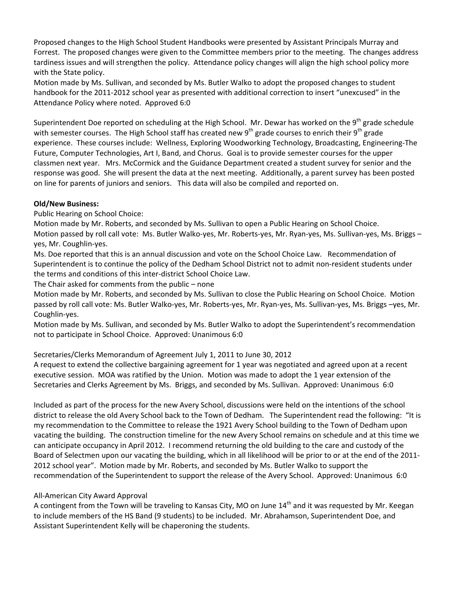Proposed changes to the High School Student Handbooks were presented by Assistant Principals Murray and Forrest. The proposed changes were given to the Committee members prior to the meeting. The changes address tardiness issues and will strengthen the policy. Attendance policy changes will align the high school policy more with the State policy.

Motion made by Ms. Sullivan, and seconded by Ms. Butler Walko to adopt the proposed changes to student handbook for the 2011‐2012 school year as presented with additional correction to insert "unexcused" in the Attendance Policy where noted. Approved 6:0

Superintendent Doe reported on scheduling at the High School. Mr. Dewar has worked on the 9<sup>th</sup> grade schedule with semester courses. The High School staff has created new 9<sup>th</sup> grade courses to enrich their 9<sup>th</sup> grade experience. These courses include: Wellness, Exploring Woodworking Technology, Broadcasting, Engineering‐The Future, Computer Technologies, Art I, Band, and Chorus. Goal is to provide semester courses for the upper classmen next year. Mrs. McCormick and the Guidance Department created a student survey for senior and the response was good. She will present the data at the next meeting. Additionally, a parent survey has been posted on line for parents of juniors and seniors. This data will also be compiled and reported on.

## **Old/New Business:**

Public Hearing on School Choice:

Motion made by Mr. Roberts, and seconded by Ms. Sullivan to open a Public Hearing on School Choice. Motion passed by roll call vote: Ms. Butler Walko-yes, Mr. Roberts-yes, Mr. Ryan-yes, Ms. Sullivan-yes, Ms. Briggs – yes, Mr. Coughlin‐yes.

Ms. Doe reported that this is an annual discussion and vote on the School Choice Law. Recommendation of Superintendent is to continue the policy of the Dedham School District not to admit non-resident students under the terms and conditions of this inter‐district School Choice Law.

The Chair asked for comments from the public – none

Motion made by Mr. Roberts, and seconded by Ms. Sullivan to close the Public Hearing on School Choice. Motion passed by roll call vote: Ms. Butler Walko‐yes, Mr. Roberts‐yes, Mr. Ryan‐yes, Ms. Sullivan‐yes, Ms. Briggs –yes, Mr. Coughlin‐yes.

Motion made by Ms. Sullivan, and seconded by Ms. Butler Walko to adopt the Superintendent's recommendation not to participate in School Choice. Approved: Unanimous 6:0

# Secretaries/Clerks Memorandum of Agreement July 1, 2011 to June 30, 2012

A request to extend the collective bargaining agreement for 1 year was negotiated and agreed upon at a recent executive session. MOA was ratified by the Union. Motion was made to adopt the 1 year extension of the Secretaries and Clerks Agreement by Ms. Briggs, and seconded by Ms. Sullivan. Approved: Unanimous 6:0

Included as part of the process for the new Avery School, discussions were held on the intentions of the school district to release the old Avery School back to the Town of Dedham. The Superintendent read the following: "It is my recommendation to the Committee to release the 1921 Avery School building to the Town of Dedham upon vacating the building. The construction timeline for the new Avery School remains on schedule and at this time we can anticipate occupancy in April 2012. I recommend returning the old building to the care and custody of the Board of Selectmen upon our vacating the building, which in all likelihood will be prior to or at the end of the 2011‐ 2012 school year". Motion made by Mr. Roberts, and seconded by Ms. Butler Walko to support the recommendation of the Superintendent to support the release of the Avery School. Approved: Unanimous 6:0

# All‐American City Award Approval

A contingent from the Town will be traveling to Kansas City, MO on June 14<sup>th</sup> and it was requested by Mr. Keegan to include members of the HS Band (9 students) to be included. Mr. Abrahamson, Superintendent Doe, and Assistant Superintendent Kelly will be chaperoning the students.